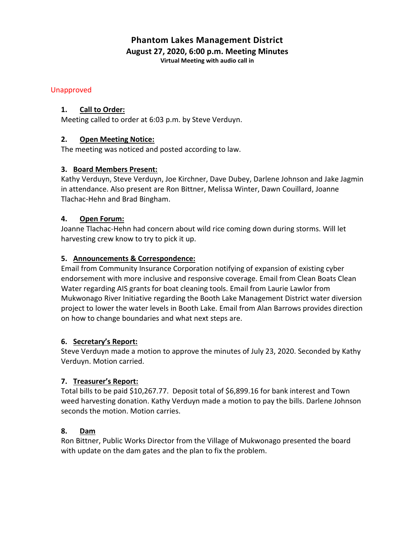## **Phantom Lakes Management District August 27, 2020, 6:00 p.m. Meeting Minutes**

**Virtual Meeting with audio call in**

### Unapproved

### **1. Call to Order:**

Meeting called to order at 6:03 p.m. by Steve Verduyn.

## **2. Open Meeting Notice:**

The meeting was noticed and posted according to law.

### **3. Board Members Present:**

Kathy Verduyn, Steve Verduyn, Joe Kirchner, Dave Dubey, Darlene Johnson and Jake Jagmin in attendance. Also present are Ron Bittner, Melissa Winter, Dawn Couillard, Joanne Tlachac-Hehn and Brad Bingham.

### **4. Open Forum:**

Joanne Tlachac-Hehn had concern about wild rice coming down during storms. Will let harvesting crew know to try to pick it up.

## **5. Announcements & Correspondence:**

Email from Community Insurance Corporation notifying of expansion of existing cyber endorsement with more inclusive and responsive coverage. Email from Clean Boats Clean Water regarding AIS grants for boat cleaning tools. Email from Laurie Lawlor from Mukwonago River Initiative regarding the Booth Lake Management District water diversion project to lower the water levels in Booth Lake. Email from Alan Barrows provides direction on how to change boundaries and what next steps are.

## **6. Secretary's Report:**

Steve Verduyn made a motion to approve the minutes of July 23, 2020. Seconded by Kathy Verduyn. Motion carried.

## **7. Treasurer's Report:**

Total bills to be paid \$10,267.77. Deposit total of \$6,899.16 for bank interest and Town weed harvesting donation. Kathy Verduyn made a motion to pay the bills. Darlene Johnson seconds the motion. Motion carries.

#### **8. Dam**

Ron Bittner, Public Works Director from the Village of Mukwonago presented the board with update on the dam gates and the plan to fix the problem.